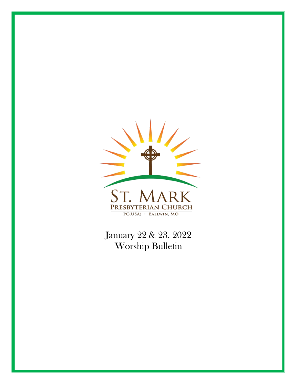

January 22 & 23, 2022 Worship Bulletin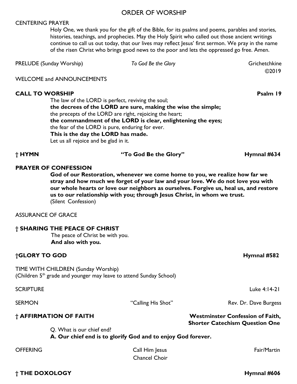#### ORDER OF WORSHIP

#### CENTERING PRAYER

Holy One, we thank you for the gift of the Bible, for its psalms and poems, parables and stories, histories, teachings, and prophecies. May the Holy Spirit who called out those ancient writings continue to call us out today, that our lives may reflect Jesus' first sermon. We pray in the name of the risen Christ who brings good news to the poor and lets the oppressed go free. Amen.

| <b>PRELUDE (Sunday Worship)</b> | To God Be the Glory | Grichetchkine |
|---------------------------------|---------------------|---------------|
|                                 |                     | @2019         |

WELCOME and ANNOUNCEMENTS

#### **CALL TO WORSHIP Psalm 19**

The law of the LORD is perfect, reviving the soul; **the decrees of the LORD are sure, making the wise the simple;** the precepts of the LORD are right, rejoicing the heart; **the commandment of the LORD is clear, enlightening the eyes;** the fear of the LORD is pure, enduring for ever. **This is the day the LORD has made.** Let us all rejoice and be glad in it.

**† HYMN "To God Be the Glory" Hymnal #634**

**PRAYER OF CONFESSION** 

**God of our Restoration, whenever we come home to you, we realize how far we stray and how much we forget of your law and your love. We do not love you with our whole hearts or love our neighbors as ourselves. Forgive us, heal us, and restore us to our relationship with you; through Jesus Christ, in whom we trust.**  (Silent Confession)

ASSURANCE OF GRACE

#### **† SHARING THE PEACE OF CHRIST**

The peace of Christ be with you. **And also with you.**

#### **†GLORY TO GOD Hymnal #582**

TIME WITH CHILDREN (Sunday Worship) (Children  $5<sup>th</sup>$  grade and younger may leave to attend Sunday School)

Q. What is our chief end?

 **A. Our chief end is to glorify God and to enjoy God forever.** 

| <b>OFFERING</b> | Call Him Jesus | Fair/Martin |
|-----------------|----------------|-------------|
|                 | Chancel Choir  |             |

SCRIPTURE Luke 4:14-21

SERMON **EXAMPLE 19 SERMON** "Calling His Shot" Rev. Dr. Dave Burgess

#### **† AFFIRMATION OF FAITH Westminster Confession of Faith, Shorter Catechism Question One**

**† THE DOXOLOGY Hymnal #606**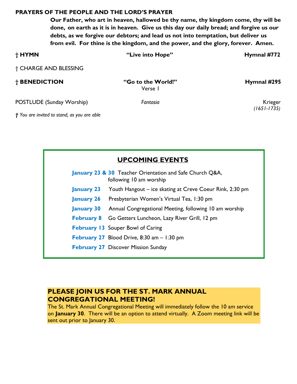#### **PRAYERS OF THE PEOPLE AND THE LORD'S PRAYER**

**Our Father, who art in heaven, hallowed be thy name, thy kingdom come, thy will be done, on earth as it is in heaven. Give us this day our daily bread; and forgive us our debts, as we forgive our debtors; and lead us not into temptation, but deliver us from evil. For thine is the kingdom, and the power, and the glory, forever. Amen.** 

| † HYMN                    | "Live into Hope"              | Hymnal #772            |
|---------------------------|-------------------------------|------------------------|
| † CHARGE AND BLESSING     |                               |                        |
| † BENEDICTION             | "Go to the World!"<br>Verse I | Hymnal #295            |
| POSTLUDE (Sunday Worship) | Fantasia                      | Krieger<br>(1651-1735) |

*† You are invited to stand, as you are able* 

|                   | <b>UPCOMING EVENTS</b>                                                              |  |  |  |
|-------------------|-------------------------------------------------------------------------------------|--|--|--|
|                   | January 23 & 30 Teacher Orientation and Safe Church Q&A,<br>following 10 am worship |  |  |  |
|                   | <b>January 23</b> Youth Hangout – ice skating at Creve Coeur Rink, 2:30 pm          |  |  |  |
|                   | <b>January 26</b> Presbyterian Women's Virtual Tea, 1:30 pm                         |  |  |  |
| <b>January 30</b> | Annual Congregational Meeting, following 10 am worship                              |  |  |  |
|                   | February 8 Go Getters Luncheon, Lazy River Grill, 12 pm                             |  |  |  |
|                   | <b>February 13</b> Souper Bowl of Caring                                            |  |  |  |
|                   | <b>February 27</b> Blood Drive, 8:30 am $-1:30$ pm                                  |  |  |  |
|                   | <b>February 27 Discover Mission Sunday</b>                                          |  |  |  |

### **PLEASE JOIN US FOR THE ST. MARK ANNUAL CONGREGATIONAL MEETING!**

The St. Mark Annual Congregational Meeting will immediately follow the 10 am service on **January 30**. There will be an option to attend virtually. A Zoom meeting link will be sent out prior to January 30.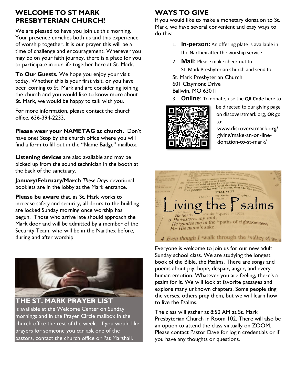## **WELCOME TO ST MARK PRESBYTERIAN CHURCH!**

We are pleased to have you join us this morning. Your presence enriches both us and this experience of worship together. It is our prayer this will be a time of challenge and encouragement. Wherever you may be on your faith journey, there is a place for you to participate in our life together here at St. Mark.

**To Our Guests.** We hope you enjoy your visit today. Whether this is your first visit, or you have been coming to St. Mark and are considering joining the church and you would like to know more about St. Mark, we would be happy to talk with you.

For more information, please contact the church office, 636-394-2233.

**Please wear your NAMETAG at church.** Don't have one? Stop by the church office where you will find a form to fill out in the "Name Badge" mailbox.

**Listening devices** are also available and may be picked up from the sound technician in the booth at the back of the sanctuary.

**January/February/March** *These Days* devotional booklets are in the lobby at the Mark entrance.

**Please be aware** that, as St. Mark works to increase safety and security, all doors to the building are locked Sunday morning once worship has begun. Those who arrive late should approach the Mark door and will be admitted by a member of the Security Team, who will be in the Narthex before, during and after worship.



**THE ST. MARK PRAYER LIST** is available at the Welcome Center on Sunday mornings and in the Prayer Circle mailbox in the church office the rest of the week. If you would like prayers for someone you can ask one of the pastors, contact the church office or Pat Marshall.

# **WAYS TO GIVE**

If you would like to make a monetary donation to St. Mark, we have several convenient and easy ways to do this:

- 1. **In-person:** An offering plate is available in the Narthex after the worship service.
- 2. **Mail**: Please make check out to St. Mark Presbyterian Church and send to:
- St. Mark Presbyterian Church
- 601 Claymont Drive Ballwin, MO 63011
- 3. **Online**: To donate, use the **QR Code** here to



be directed to our giving page on discoverstmark.org, **OR** go to:

www.discoverstmark.org/ giving/make-an-on-linedonation-to-st-mark/



Everyone is welcome to join us for our new adult Sunday school class. We are studying the longest book of the Bible, the Psalms. There are songs and poems about joy, hope, despair, anger, and every human emotion. Whatever you are feeling, there's a psalm for it. We will look at favorite passages and explore many unknown chapters. Some people sing the verses, others pray them, but we will learn how to live the Psalms.

The class will gather at 8:50 AM at St. Mark Presbyterian Church in Room 102. There will also be an option to attend the class virtually on ZOOM. Please contact Pastor Dave for login credentials or if you have any thoughts or questions.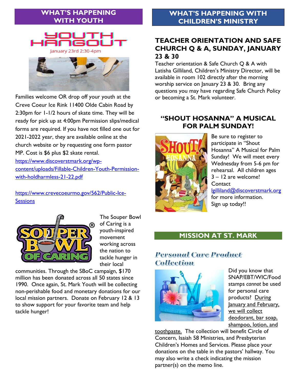## **WHAT'S HAPPENING WITH YOUTH**



Families welcome OR drop off your youth at the Creve Coeur Ice Rink 11400 Olde Cabin Road by 2:30pm for 1-1/2 hours of skate time. They will be ready for pick up at 4:00pm Permission slips/medical forms are required. If you have not filled one out for 2021-2022 year, they are available online at the church website or by requesting one form pastor MP. Cost is \$6 plus \$2 skate rental. [https://www.discoverstmark.org/wp](https://www.discoverstmark.org/wp-content/uploads/Fillable-Children-Youth-Permission-with-holdharmless-21-22.pdf)[content/uploads/Fillable-Children-Youth-Permission](https://www.discoverstmark.org/wp-content/uploads/Fillable-Children-Youth-Permission-with-holdharmless-21-22.pdf)[with-holdharmless-21-22.pdf](https://www.discoverstmark.org/wp-content/uploads/Fillable-Children-Youth-Permission-with-holdharmless-21-22.pdf)

[https://www.crevecoeurmo.gov/562/Public-Ice-](https://www.crevecoeurmo.gov/562/Public-Ice-Sessions)**[Sessions](https://www.crevecoeurmo.gov/562/Public-Ice-Sessions)** 



The Souper Bowl of Caring is a youth-inspired movement working across the nation to tackle hunger in their local

communities. Through the SBoC campaign, \$170 million has been donated across all 50 states since 1990. Once again, St. Mark Youth will be collecting non-perishable food and monetary donations for our local mission partners. Donate on February 12 & 13 to show support for your favorite team and help tackle hunger!

## **WHAT'S HAPPENING WITH CHILDREN'S MINISTRY**

## **TEACHER ORIENTATION AND SAFE CHURCH Q & A, SUNDAY, JANUARY 23 & 30**

Teacher orientation & Safe Church Q & A with Latisha Gilliland, Children's Ministry Director, will be available in room 102 directly after the morning worship service on January 23 & 30. Bring any questions you may have regarding Safe Church Policy or becoming a St. Mark volunteer.

## **"SHOUT HOSANNA" A MUSICAL FOR PALM SUNDAY!**



Be sure to register to participate in "Shout Hosanna" A Musical for Palm Sunday! We will meet every Wednesday from 5-6 pm for rehearsal. All children ages 3 – 12 are welcome! **Contact** [lgilliland@discoverstmark.org](mailto:lgilliland@discoverstmark.org) for more information. Sign up today!!

### **MISSION AT ST. MARK**

## **Personal Care Product** Collection



Did you know that SNAP/EBT/WIC/Food stamps *cannot* be used for personal care products? During January and February, we will collect deodorant, bar soap, shampoo, lotion, and

toothpaste. The collection will benefit Circle of Concern, Isaiah 58 Ministries, and Presbyterian Children's Homes and Services. Please place your donations on the table in the pastors' hallway. You may also write a check indicating the mission partner(s) on the memo line.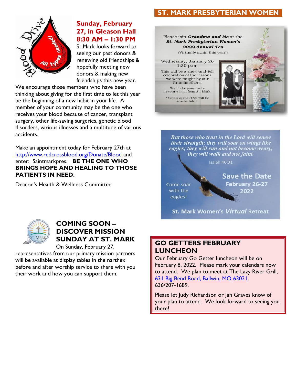## **ST. MARK PRESBYTERIAN WOMEN**



#### **Sunday, February 27, in Gleason Hall 8:30 AM – 1:30 PM**

St Mark looks forward to seeing our past donors & renewing old friendships & hopefully meeting new donors & making new friendships this new year.

We encourage those members who have been thinking about giving for the first time to let this year be the beginning of a new habit in your life. A member of your community may be the one who receives your blood because of cancer, transplant surgery, other life-saving surgeries, genetic blood disorders, various illnesses and a multitude of various accidents.

Make an appointment today for February 27th at <http://www.redcrossblood.org/Donate/Blood> and enter: Saintmarkpres. **BE THE ONE WHO BRINGS HOPE AND HEALING TO THOSE PATIENTS IN NEED.**

Deacon's Health & Wellness Committee



**But those who trust in the Lord will renew** their strength; they will soar on wings like eagles; they will run and not become weary, they will walk and not faint.

**Isaiah 40:31** 

Come soar with the eagles!

**Save the Date** February 26-27 2022





# **COMING SOON – DISCOVER MISSION SUNDAY AT ST. MARK**

On Sunday, February 27, representatives from our primary mission partners will be available at display tables in the narthex

before and after worship service to share with you their work and how you can support them.

#### **GO GETTERS FEBRUARY LUNCHEON**

Our February Go Getter luncheon will be on February 8, 2022. Please mark your calendars now to attend. We plan to meet at The Lazy River Grill, [631 Big Bend Road, Ballwin, MO](https://www.google.com/maps/search/631+Big+Bend+Road,+Ballwin,+MO+63021?entry=gmail&source=g) [63021.](https://www.google.com/maps/search/631+Big+Bend+Road,+Ballwin,+MO+63021?entry=gmail&source=g) 636/207-1689.

Please let Judy Richardson or Jan Graves know of your plan to attend. We look forward to seeing you there!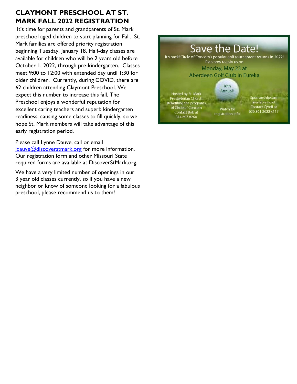# **CLAYMONT PRESCHOOL AT ST. MARK FALL 2022 REGISTRATION**

It's time for parents and grandparents of St. Mark preschool aged children to start planning for Fall. St. Mark families are offered priority registration beginning Tuesday, January 18. Half-day classes are available for children who will be 2 years old before October 1, 2022, through pre-kindergarten. Classes meet 9:00 to 12:00 with extended day until 1:30 for older children. Currently, during COVID, there are 62 children attending Claymont Preschool. We expect this number to increase this fall. The Preschool enjoys a wonderful reputation for excellent caring teachers and superb kindergarten readiness, causing some classes to fill quickly, so we hope St. Mark members will take advantage of this early registration period.

Please call Lynne Dauve, call or email [ldauve@discoverstmark.org](mailto:ldauve@discoverstmark.org) for more information. Our registration form and other Missouri State required forms are available at DiscoverStMark.org.

We have a very limited number of openings in our 3 year old classes currently, so if you have a new neighbor or know of someone looking for a fabulous preschool, please recommend us to them!